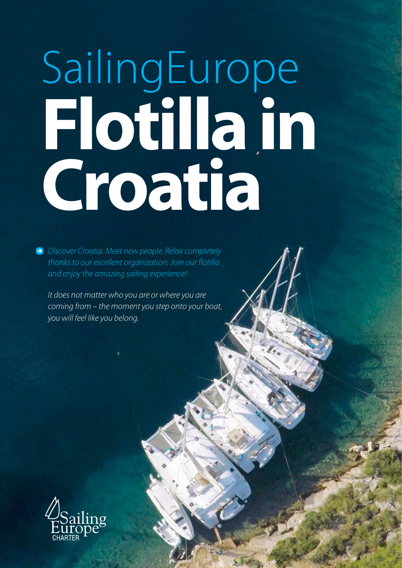# SailingEurope **Flotilla in Croatia**

*Discover Croatia. Meet new people. Relax completely thanks to our excellent organization. Join our flotilla and enjoy the amazing sailing experience!*

*It does not matter who you are or where you are coming from – the moment you step onto your boat, you will feel like you belong.*



**[sailingeuropecharter.com](http://sailingeuropecharter.com)**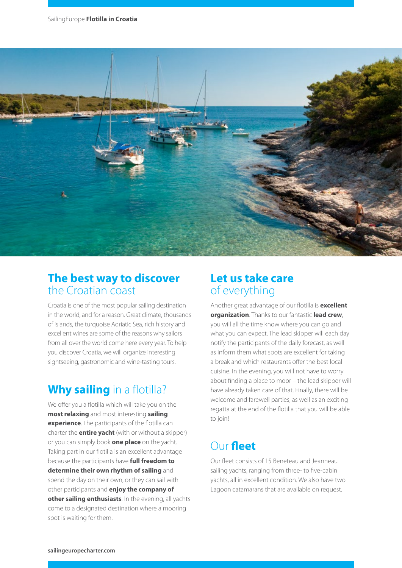

#### **The best way to discover** the Croatian coast

Croatia is one of the most popular sailing destination in the world, and for a reason. Great climate, thousands of islands, the turquoise Adriatic Sea, rich history and excellent wines are some of the reasons why sailors from all over the world come here every year. To help you discover Croatia, we will organize interesting sightseeing, gastronomic and wine-tasting tours.

### **Why sailing** in a flotilla?

We offer you a flotilla which will take you on the **most relaxing** and most interesting **sailing experience**. The participants of the flotilla can charter the **entire yacht** (with or without a skipper) or you can simply book **one place** on the yacht. Taking part in our flotilla is an excellent advantage because the participants have **full freedom to determine their own rhythm of sailing** and spend the day on their own, or they can sail with other participants and **enjoy the company of other sailing enthusiasts**. In the evening, all yachts come to a designated destination where a mooring spot is waiting for them.

#### **Let us take care** of everything

Another great advantage of our flotilla is **excellent organization**. Thanks to our fantastic **lead crew**, you will all the time know where you can go and what you can expect. The lead skipper will each day notify the participants of the daily forecast, as well as inform them what spots are excellent for taking a break and which restaurants offer the best local cuisine. In the evening, you will not have to worry about finding a place to moor – the lead skipper will have already taken care of that. Finally, there will be welcome and farewell parties, as well as an exciting regatta at the end of the flotilla that you will be able to join!

## Our **fleet**

Our fleet consists of 15 Beneteau and Jeanneau sailing yachts, ranging from three- to five-cabin yachts, all in excellent condition. We also have two Lagoon catamarans that are available on request.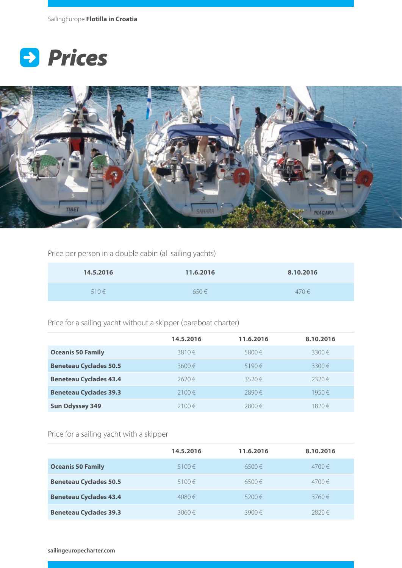



Price per person in a double cabin (all sailing yachts)

| 14.5.2016 | 11.6.2016 | 8.10.2016 |
|-----------|-----------|-----------|
| $510 \in$ | $650 \in$ | $470 \in$ |

Price for a sailing yacht without a skipper (bareboat charter)

|                               | 14.5.2016  | 11.6.2016  | 8.10.2016  |
|-------------------------------|------------|------------|------------|
| <b>Oceanis 50 Family</b>      | $3810 \in$ | $5800 \in$ | $3300 \in$ |
| <b>Beneteau Cyclades 50.5</b> | $3600 \in$ | $5190 \in$ | $3300 \in$ |
| <b>Beneteau Cyclades 43.4</b> | 2620€      | $3520 \in$ | 2320€      |
| <b>Beneteau Cyclades 39.3</b> | $2100 \in$ | 2890€      | 1950€      |
| <b>Sun Odyssey 349</b>        | $2100 \in$ | 2800€      | $1820 \in$ |

Price for a sailing yacht with a skipper

|                               | 14.5.2016  | 11.6.2016  | 8.10.2016  |
|-------------------------------|------------|------------|------------|
| <b>Oceanis 50 Family</b>      | $5100 \in$ | $6500 \in$ | $4700 \in$ |
| <b>Beneteau Cyclades 50.5</b> | $5100 \in$ | $6500 \in$ | $4700 \in$ |
| <b>Beneteau Cyclades 43.4</b> | 4080€      | $5200 \in$ | $3760 \in$ |
| <b>Beneteau Cyclades 39.3</b> | $3060 \in$ | $3900 \in$ | 2820€      |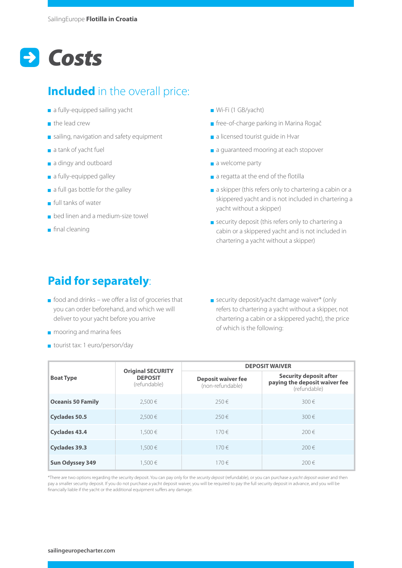## *Costs*

### **Included** in the overall price:

- a fully-equipped sailing yacht
- **the lead crew**
- $\blacksquare$  sailing, navigation and safety equipment
- a tank of yacht fuel
- a dingy and outboard
- a fully-equipped galley
- $\blacksquare$  a full gas bottle for the galley
- $\blacksquare$  full tanks of water
- **b** bed linen and a medium-size towel
- $\blacksquare$  final cleaning
- Wi-Fi (1 GB/yacht)
- free-of-charge parking in Marina Rogač
- a licensed tourist quide in Hvar
- a guaranteed mooring at each stopover
- a welcome party
- a regatta at the end of the flotilla
- a skipper (this refers only to chartering a cabin or a skippered yacht and is not included in chartering a yacht without a skipper)
- security deposit (this refers only to chartering a cabin or a skippered yacht and is not included in chartering a yacht without a skipper)

### **Paid for separately**:

- $\blacksquare$  food and drinks we offer a list of groceries that you can order beforehand, and which we will deliver to your yacht before you arrive
- **m** mooring and marina fees
- tourist tax: 1 euro/person/day

security deposit/yacht damage waiver\* (only refers to chartering a yacht without a skipper, not chartering a cabin or a skippered yacht), the price of which is the following:

| <b>Boat Type</b>         | <b>Original SECURITY</b><br><b>DEPOSIT</b><br>(refundable) | <b>DEPOSIT WAIVER</b>                         |                                                                                |  |
|--------------------------|------------------------------------------------------------|-----------------------------------------------|--------------------------------------------------------------------------------|--|
|                          |                                                            | <b>Deposit waiver fee</b><br>(non-refundable) | <b>Security deposit after</b><br>paying the deposit waiver fee<br>(refundable) |  |
| <b>Oceanis 50 Family</b> | 2.500€                                                     | $250 \in$                                     | $300 \in$                                                                      |  |
| <b>Cyclades 50.5</b>     | 2.500€                                                     | $250 \in$                                     | $300 \in$                                                                      |  |
| <b>Cyclades 43.4</b>     | 1.500€                                                     | $170 \in$                                     | $200 \in$                                                                      |  |
| <b>Cyclades 39.3</b>     | 1.500€                                                     | $170 \in$                                     | $200 \in$                                                                      |  |
| <b>Sun Odyssey 349</b>   | 1.500€                                                     | $170 \in$                                     | $200 \in$                                                                      |  |

\*There are two options regarding the security deposit. You can pay only for the *security deposit* (refundable), or you can purchase a *yacht deposit waiver* and then pay a smaller security deposit. If you do not purchase a yacht deposit waiver, you will be required to pay the full security deposit in advance, and you will be financially liable if the yacht or the additional equipment suffers any damage.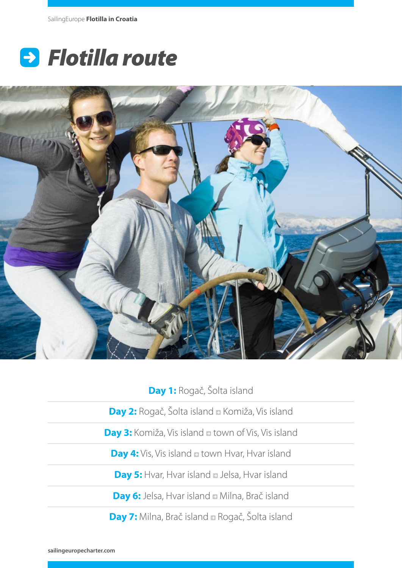# *Flotilla route*



**Day 1:** Rogač, Šolta island

**Day 2:** Rogač, Šolta island **E** Komiža, Vis island

**Day 3:** Komiža, Vis island a town of Vis, Vis island

**Day 4:** Vis, Vis island **a** town Hvar, Hvar island

**Day 5:** Hvar, Hvar island **Delsa**, Hvar island

**Day 6:** Jelsa, Hvar island Milna, Brač island

**Day 7:** Milna, Brač island **Rogač**, Šolta island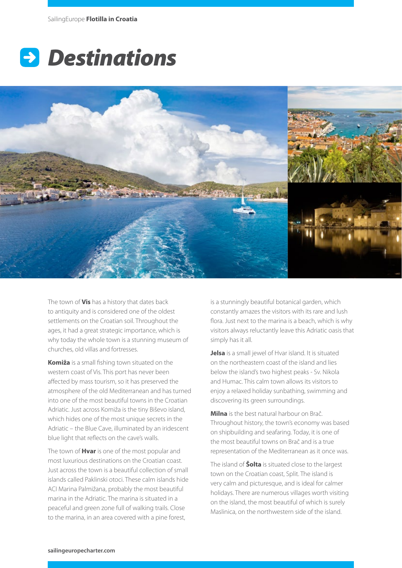



The town of **Vis** has a history that dates back to antiquity and is considered one of the oldest settlements on the Croatian soil. Throughout the ages, it had a great strategic importance, which is why today the whole town is a stunning museum of churches, old villas and fortresses.

**Komiža** is a small fishing town situated on the western coast of Vis. This port has never been affected by mass tourism, so it has preserved the atmosphere of the old Mediterranean and has turned into one of the most beautiful towns in the Croatian Adriatic. Just across Komiža is the tiny Biševo island, which hides one of the most unique secrets in the Adriatic – the Blue Cave, illuminated by an iridescent blue light that reflects on the cave's walls.

The town of **Hvar** is one of the most popular and most luxurious destinations on the Croatian coast. Just across the town is a beautiful collection of small islands called Paklinski otoci. These calm islands hide ACI Marina Palmižana, probably the most beautiful marina in the Adriatic. The marina is situated in a peaceful and green zone full of walking trails. Close to the marina, in an area covered with a pine forest,

is a stunningly beautiful botanical garden, which constantly amazes the visitors with its rare and lush flora. Just next to the marina is a beach, which is why visitors always reluctantly leave this Adriatic oasis that simply has it all.

**Jelsa** is a small jewel of Hvar island. It is situated on the northeastern coast of the island and lies below the island's two highest peaks - Sv. Nikola and Humac. This calm town allows its visitors to enjoy a relaxed holiday sunbathing, swimming and discovering its green surroundings.

**Milna** is the best natural harbour on Brač. Throughout history, the town's economy was based on shipbuilding and seafaring. Today, it is one of the most beautiful towns on Brač and is a true representation of the Mediterranean as it once was.

The island of **Šolta** is situated close to the largest town on the Croatian coast, Split. The island is very calm and picturesque, and is ideal for calmer holidays. There are numerous villages worth visiting on the island, the most beautiful of which is surely Maslinica, on the northwestern side of the island.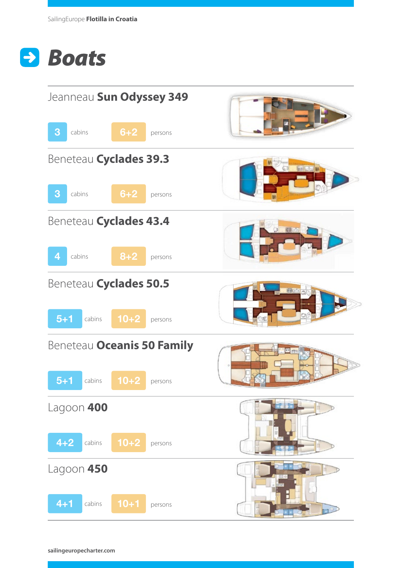